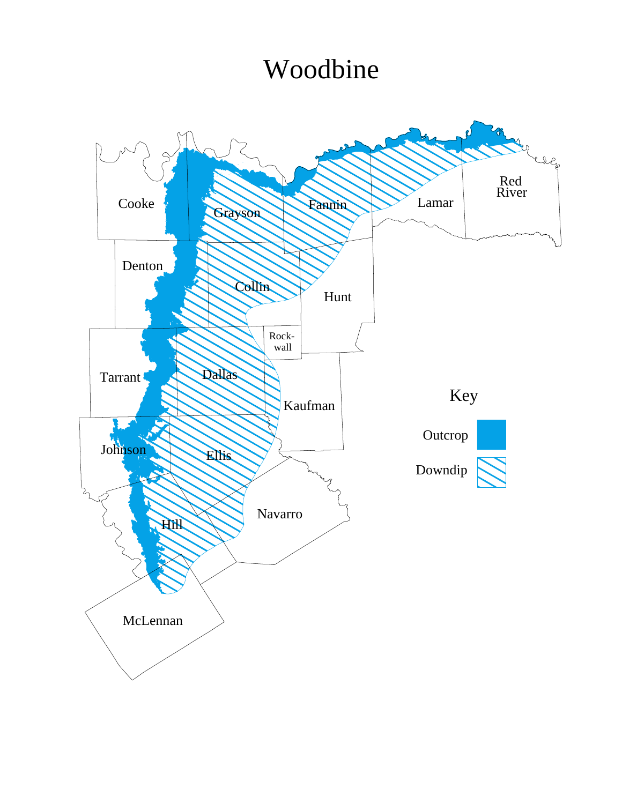## Woodbine